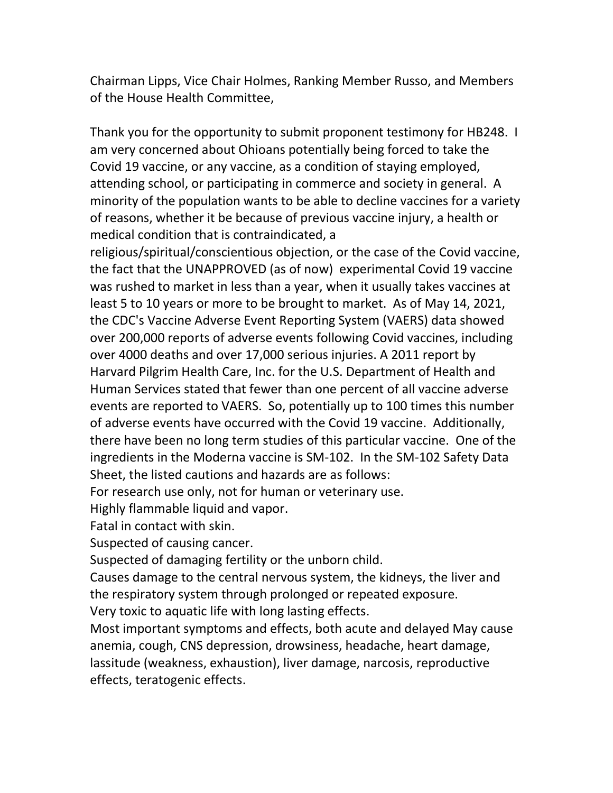Chairman Lipps, Vice Chair Holmes, Ranking Member Russo, and Members of the House Health Committee,

Thank you for the opportunity to submit proponent testimony for HB248. I am very concerned about Ohioans potentially being forced to take the Covid 19 vaccine, or any vaccine, as a condition of staying employed, attending school, or participating in commerce and society in general. A minority of the population wants to be able to decline vaccines for a variety of reasons, whether it be because of previous vaccine injury, a health or medical condition that is contraindicated, a

religious/spiritual/conscientious objection, or the case of the Covid vaccine, the fact that the UNAPPROVED (as of now) experimental Covid 19 vaccine was rushed to market in less than a year, when it usually takes vaccines at least 5 to 10 years or more to be brought to market. As of May 14, 2021, the CDC's Vaccine Adverse Event Reporting System (VAERS) data showed over 200,000 reports of adverse events following Covid vaccines, including over 4000 deaths and over 17,000 serious injuries. A 2011 report by Harvard Pilgrim Health Care, Inc. for the U.S. Department of Health and Human Services stated that fewer than one percent of all vaccine adverse events are reported to VAERS. So, potentially up to 100 times this number of adverse events have occurred with the Covid 19 vaccine. Additionally, there have been no long term studies of this particular vaccine. One of the ingredients in the Moderna vaccine is SM-102. In the SM-102 Safety Data Sheet, the listed cautions and hazards are as follows:

For research use only, not for human or veterinary use.

Highly flammable liquid and vapor.

Fatal in contact with skin.

Suspected of causing cancer.

Suspected of damaging fertility or the unborn child.

Causes damage to the central nervous system, the kidneys, the liver and the respiratory system through prolonged or repeated exposure.

Very toxic to aquatic life with long lasting effects.

Most important symptoms and effects, both acute and delayed May cause anemia, cough, CNS depression, drowsiness, headache, heart damage, lassitude (weakness, exhaustion), liver damage, narcosis, reproductive effects, teratogenic effects.